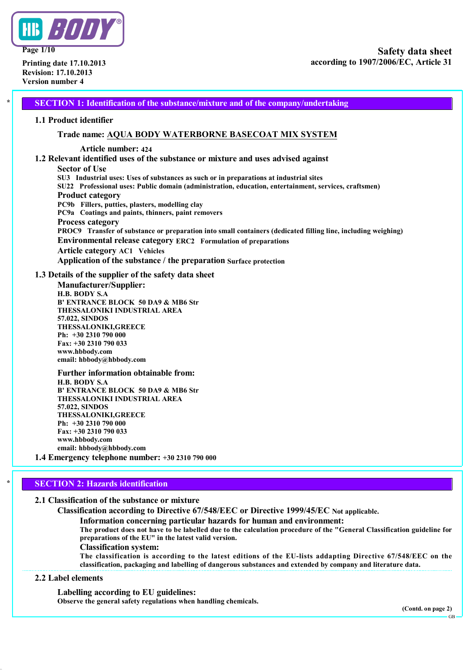

**Page 1/10**

**Printing date 17.10.2013 Revision: 17.10.2013 Version number 4**

**\* SECTION 1: Identification of the substance/mixture and of the company/undertaking**

### **1.1 Product identifier**

# **Trade name: AQUA BODY WATERBORNE BASECOAT MIX SYSTEM**

### **Article number: 424**

# **1.2 Relevant identified uses of the substance or mixture and uses advised against**

### **Sector of Use**

**SU3 Industrial uses: Uses of substances as such or in preparations at industrial sites SU22 Professional uses: Public domain (administration, education, entertainment, services, craftsmen) Product category PC9b Fillers, putties, plasters, modelling clay PC9a Coatings and paints, thinners, paint removers Process category PROC9 Transfer of substance or preparation into small containers (dedicated filling line, including weighing) Environmental release category ERC2 Formulation of preparations Article category AC1 Vehicles Application of the substance / the preparation Surface protection**

# **1.3 Details of the supplier of the safety data sheet**

**Manufacturer/Supplier: H.B. BODY S.A B' ENTRANCE BLOCK 50 DA9 & MB6 Str THESSALONIKI INDUSTRIAL AREA 57.022, SINDOS THESSALONIKI,GREECE Ph: +30 2310 790 000 Fax: +30 2310 790 033 www.hbbody.com email: hbbody@hbbody.com**

**Further information obtainable from: H.B. BODY S.A B' ENTRANCE BLOCK 50 DA9 & MB6 Str THESSALONIKI INDUSTRIAL AREA 57.022, SINDOS THESSALONIKI,GREECE Ph: +30 2310 790 000 Fax: +30 2310 790 033 www.hbbody.com email: hbbody@hbbody.com**

# **1.4 Emergency telephone number: +30 2310 790 000**

# **\* SECTION 2: Hazards identification**

**2.1 Classification of the substance or mixture**

**Classification according to Directive 67/548/EEC or Directive 1999/45/EC Not applicable.**

**Information concerning particular hazards for human and environment:**

The product does not have to be labelled due to the calculation procedure of the "General Classification guideline for **preparations of the EU" in the latest valid version.**

**Classification system:**

**The classification is according to the latest editions of the EU-lists addapting Directive 67/548/EEC on the classification, packaging and labelling of dangerous substances and extended by company and literature data.**

# **2.2 Label elements**

**Labelling according to EU guidelines:**

**Observe the general safety regulations when handling chemicals.**

GB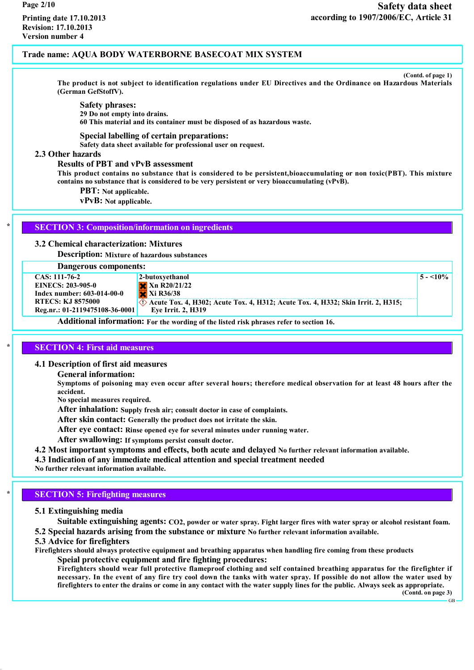**(Contd. of page 1)**

**5 - <10%**

The product is not subject to identification regulations under EU Directives and the Ordinance on Hazardous Materials **(German GefStoffV).**

**Safety phrases: 29 Do not empty into drains.**

**60 This material and its container must be disposed of as hazardous waste.**

### **Special labelling of certain preparations:**

**Safety data sheet available for professional user on request.**

# **2.3 Other hazards**

### **Results of PBT and vPvB assessment**

This product contains no substance that is considered to be persistent, bioaccumulating or non toxic(PBT). This mixture **contains no substance that is considered to be very persistent or very bioaccumulating (vPvB).**

**PBT: Not applicable.**

**vPvB: Not applicable.**

### **\* SECTION 3: Composition/information on ingredients**

**3.2 Chemical characterization: Mixtures**

**Description: Mixture of hazardous substances**

# **Dangerous components:**

**CAS: 111-76-2 EINECS: 203-905-0 Index number: 603-014-00-0 RTECS: KJ 8575000 Reg.nr.: 01-2119475108-36-0001 2-butoxyethanol Xn R20/21/22 Xi R36/38 Acute Tox. 4, H302; Acute Tox. 4, H312; Acute Tox. 4, H332; Skin Irrit. 2, H315; Eye Irrit. 2, H319**

**Additional information: For the wording of the listed risk phrases refer to section 16.**

# **\* SECTION 4: First aid measures**

### **4.1 Description of first aid measures**

**General information:**

Symptoms of poisoning may even occur after several hours; therefore medical observation for at least 48 hours after the **accident.**

**No special measures required.**

**After inhalation: Supply fresh air; consult doctor in case of complaints.**

**After skin contact: Generally the product does not irritate the skin.**

**After eye contact: Rinse opened eye for several minutes under running water.**

**After swallowing: If symptoms persist consult doctor.**

**4.2 Most important symptoms and effects, both acute and delayed No further relevant information available.**

**4.3 Indication of any immediate medical attention and special treatment needed**

**No further relevant information available.**

# **\* SECTION 5: Firefighting measures**

# **5.1 Extinguishing media**

Suitable extinguishing agents: CO2, powder or water spray. Fight larger fires with water spray or alcohol resistant foam. **5.2 Special hazards arising from the substance or mixture No further relevant information available.**

# **5.3 Advice for firefighters**

**Firefighters should always protective equipment and breathing apparatus when handling fire coming from these products Speial protective equipment and fire fighting procedures:**

Firefighters should wear full protective flameproof clothing and self contained breathing apparatus for the firefighter if necessary. In the event of any fire try cool down the tanks with water spray. If possible do not allow the water used by firefighters to enter the drains or come in any contact with the water supply lines for the public. Always seek as appropriate.

**(Contd. on page 3)**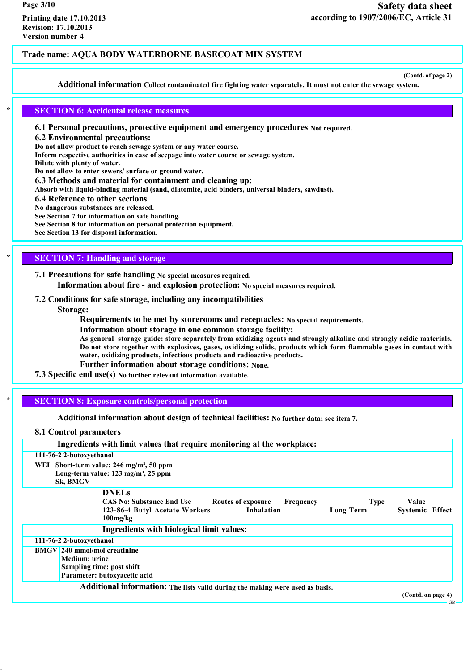**(Contd. of page 2)**

**Additional information Collect contaminated fire fighting water separately. It must not enter the sewage system.**

# **\* SECTION 6: Accidental release measures**

**6.1 Personal precautions, protective equipment and emergency procedures Not required.**

**6.2 Environmental precautions:**

**Do not allow product to reach sewage system or any water course.**

**Inform respective authorities in case of seepage into water course or sewage system.**

**Dilute with plenty of water.**

**Do not allow to enter sewers/ surface or ground water.**

**6.3 Methods and material for containment and cleaning up:**

**Absorb with liquid-binding material (sand, diatomite, acid binders, universal binders, sawdust).**

**6.4 Reference to other sections**

**No dangerous substances are released.**

**See Section 7 for information on safe handling.**

**See Section 8 for information on personal protection equipment.**

**See Section 13 for disposal information.**

# **\* SECTION 7: Handling and storage**

**7.1 Precautions for safe handling No special measures required. Information about fire - and explosion protection: No special measures required.**

### **7.2 Conditions for safe storage, including any incompatibilities**

**Storage:**

**Requirements to be met by storerooms and receptacles: No special requirements.**

**Information about storage in one common storage facility:**

As genoral storage guide: store separately from oxidizing agents and strongly alkaline and strongly acidic materials. Do not store together with explosives, gases, oxidizing solids, products which form flammable gases in contact with **water, oxidizing products, infectious products and radioactive products.**

**Further information about storage conditions: None.**

### **7.3 Specific end use(s) No further relevant information available.**

# **\* SECTION 8: Exposure controls/personal protection**

**Additional information about design of technical facilities: No further data; see item 7.**

### **8.1 Control parameters**

| Ingredients with limit values that require monitoring at the workplace:                                                                                                           |                                 |
|-----------------------------------------------------------------------------------------------------------------------------------------------------------------------------------|---------------------------------|
| 111-76-2 2-butoxyethanol                                                                                                                                                          |                                 |
| WEL Short-term value: $246$ mg/m <sup>3</sup> , 50 ppm<br>Long-term value: $123 \text{ mg/m}^3$ , $25 \text{ ppm}$<br>Sk, BMGV                                                    |                                 |
| <b>DNELs</b><br><b>CAS No: Substance End Use</b><br>Routes of exposure<br>Frequency<br><b>Type</b><br>Inhalation<br>123-86-4 Butyl Acetate Workers<br>Long Term<br>$100$ mg/ $kg$ | Value<br><b>Systemic Effect</b> |
| Ingredients with biological limit values:                                                                                                                                         |                                 |
| 111-76-2 2-butoxyethanol                                                                                                                                                          |                                 |
| <b>BMGV</b> 240 mmol/mol creatinine<br>Medium: urine<br>Sampling time: post shift<br>Parameter: butoxyacetic acid                                                                 |                                 |
| Additional information: The lists valid during the making were used as basis.                                                                                                     | (Contd. on page 4)              |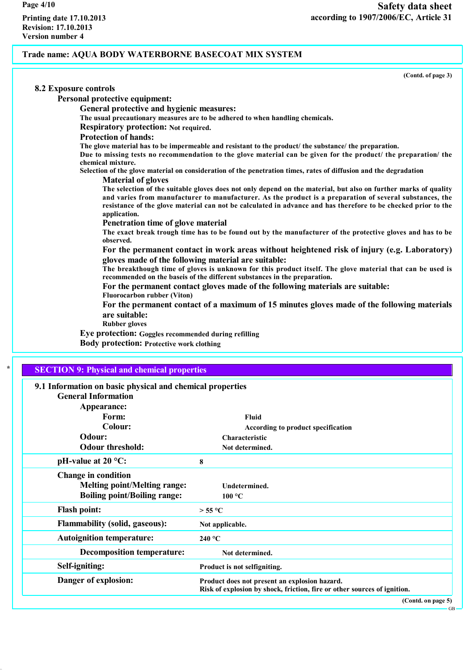**(Contd. of page 3)**

| 8.2 Exposure controls                                                                                                                                                                                                                                                                                                                                         |
|---------------------------------------------------------------------------------------------------------------------------------------------------------------------------------------------------------------------------------------------------------------------------------------------------------------------------------------------------------------|
| <b>Personal protective equipment:</b>                                                                                                                                                                                                                                                                                                                         |
| General protective and hygienic measures:                                                                                                                                                                                                                                                                                                                     |
| The usual precautionary measures are to be adhered to when handling chemicals.                                                                                                                                                                                                                                                                                |
| <b>Respiratory protection: Not required.</b>                                                                                                                                                                                                                                                                                                                  |
| <b>Protection of hands:</b>                                                                                                                                                                                                                                                                                                                                   |
| The glove material has to be impermeable and resistant to the product/ the substance/ the preparation.<br>Due to missing tests no recommendation to the glove material can be given for the product/ the preparation/ the<br>chemical mixture.                                                                                                                |
| Selection of the glove material on consideration of the penetration times, rates of diffusion and the degradation<br><b>Material of gloves</b>                                                                                                                                                                                                                |
| The selection of the suitable gloves does not only depend on the material, but also on further marks of quality<br>and varies from manufacturer to manufacturer. As the product is a preparation of several substances, the<br>resistance of the glove material can not be calculated in advance and has therefore to be checked prior to the<br>application. |
| Penetration time of glove material                                                                                                                                                                                                                                                                                                                            |
| The exact break trough time has to be found out by the manufacturer of the protective gloves and has to be<br>observed.                                                                                                                                                                                                                                       |
| For the permanent contact in work areas without heightened risk of injury (e.g. Laboratory)<br>gloves made of the following material are suitable:                                                                                                                                                                                                            |
| The breakthough time of gloves is unknown for this product itself. The glove material that can be used is<br>recommended on the baseis of the different substances in the preparation.                                                                                                                                                                        |
| For the permanent contact gloves made of the following materials are suitable:<br><b>Fluorocarbon rubber (Viton)</b>                                                                                                                                                                                                                                          |
| For the permanent contact of a maximum of 15 minutes gloves made of the following materials<br>are suitable:                                                                                                                                                                                                                                                  |
| <b>Rubber gloves</b>                                                                                                                                                                                                                                                                                                                                          |
| Eye protection: Goggles recommended during refilling                                                                                                                                                                                                                                                                                                          |
| <b>Body protection: Protective work clothing</b>                                                                                                                                                                                                                                                                                                              |
| $\star$                                                                                                                                                                                                                                                                                                                                                       |
| <b>SECTION 9: Physical and chemical properties</b>                                                                                                                                                                                                                                                                                                            |
| 9.1 Information on basic physical and chemical properties<br>Conoral Information                                                                                                                                                                                                                                                                              |

| G-eneral Information                  |                                                                          |
|---------------------------------------|--------------------------------------------------------------------------|
| Appearance:                           |                                                                          |
| Form:                                 | Fluid                                                                    |
| Colour:                               | According to product specification                                       |
| Odour:                                | Characteristic                                                           |
| <b>Odour threshold:</b>               | Not determined.                                                          |
| pH-value at $20^{\circ}$ C:           | 8                                                                        |
| <b>Change in condition</b>            |                                                                          |
| <b>Melting point/Melting range:</b>   | Undetermined.                                                            |
| <b>Boiling point/Boiling range:</b>   | 100 °C                                                                   |
| <b>Flash point:</b>                   | $>$ 55 °C                                                                |
| <b>Flammability (solid, gaseous):</b> | Not applicable.                                                          |
| <b>Autoignition temperature:</b>      | 240 °C                                                                   |
| <b>Decomposition temperature:</b>     | Not determined.                                                          |
| Self-igniting:                        | Product is not selfigniting.                                             |
| Danger of explosion:                  | Product does not present an explosion hazard.                            |
|                                       | Risk of explosion by shock, friction, fire or other sources of ignition. |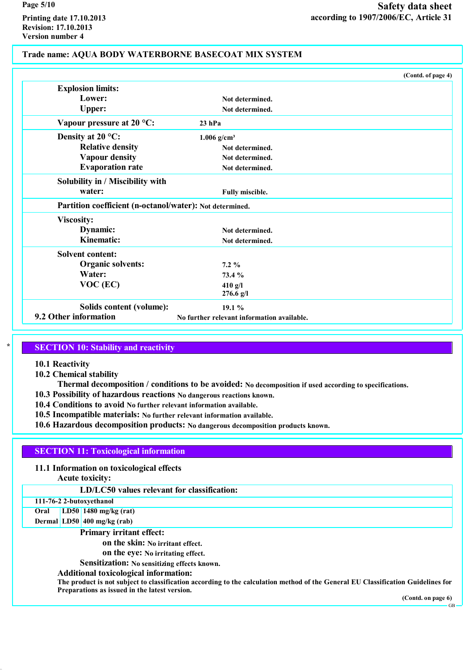**Printing date 17.10.2013 Revision: 17.10.2013 Version number 4**

# **Trade name: AQUA BODY WATERBORNE BASECOAT MIX SYSTEM**

|                                                          | (Contd. of page 4)                         |  |
|----------------------------------------------------------|--------------------------------------------|--|
| <b>Explosion limits:</b>                                 |                                            |  |
| Lower:                                                   | Not determined.                            |  |
| <b>Upper:</b>                                            | Not determined.                            |  |
| Vapour pressure at $20^{\circ}$ C:                       | $23$ hPa                                   |  |
| Density at $20^{\circ}$ C:                               | $1.006$ g/cm <sup>3</sup>                  |  |
| <b>Relative density</b>                                  | Not determined.                            |  |
| <b>Vapour density</b>                                    | Not determined.                            |  |
| <b>Evaporation rate</b>                                  | Not determined.                            |  |
| Solubility in / Miscibility with                         |                                            |  |
| water:                                                   | Fully miscible.                            |  |
| Partition coefficient (n-octanol/water): Not determined. |                                            |  |
| <b>Viscosity:</b>                                        |                                            |  |
| Dynamic:                                                 | Not determined.                            |  |
| <b>Kinematic:</b>                                        | Not determined.                            |  |
| <b>Solvent content:</b>                                  |                                            |  |
| <b>Organic solvents:</b>                                 | $7.2\%$                                    |  |
| Water:                                                   | 73.4 %                                     |  |
| $VOC$ (EC)                                               | 410 g/l                                    |  |
|                                                          | $276.6$ g/l                                |  |
| Solids content (volume):                                 | 19.1%                                      |  |
| 9.2 Other information                                    | No further relevant information available. |  |

# **\* SECTION 10: Stability and reactivity**

**10.1 Reactivity**

- **10.2 Chemical stability**
- **Thermal decomposition / conditions to be avoided: No decomposition if used according to specifications.**
- **10.3 Possibility of hazardous reactions No dangerous reactions known.**
- **10.4 Conditions to avoid No further relevant information available.**
- **10.5 Incompatible materials: No further relevant information available.**
- **10.6 Hazardous decomposition products: No dangerous decomposition products known.**

# **SECTION 11: Toxicological information**

**11.1 Information on toxicological effects**

**Acute toxicity:**

**LD/LC50 values relevant for classification:**

# **111-76-2 2-butoxyethanol**

**Oral LD50 1480 mg/kg (rat) Dermal LD50 400 mg/kg (rab)**

**Primary irritant effect:**

**on the skin: No irritant effect.**

**on the eye: No irritating effect.**

**Sensitization: No sensitizing effects known.**

# **Additional toxicological information:**

The product is not subject to classification according to the calculation method of the General EU Classification Guidelines for **Preparations as issued in the latest version.**

**(Contd. on page 6)**

GB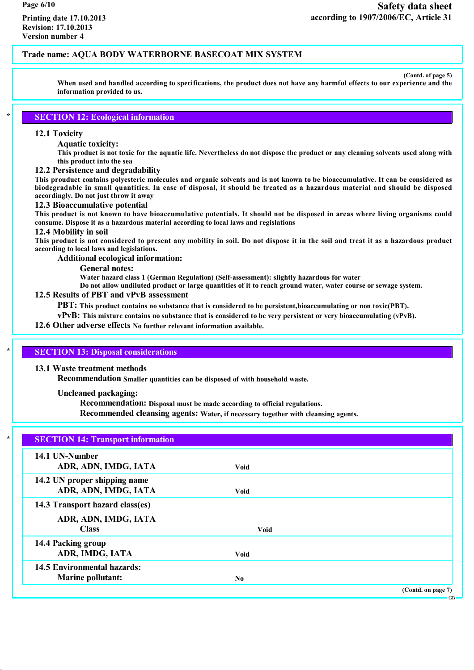**(Contd. of page 5)**

When used and handled according to specifications, the product does not have any harmful effects to our experience and the **information provided to us.**

# **\* SECTION 12: Ecological information**

### **12.1 Toxicity**

#### **Aquatic toxicity:**

This product is not toxic for the aquatic life. Nevertheless do not dispose the product or any cleaning solvents used along with **this product into the sea**

### **12.2 Persistence and degradability**

This prouduct contains polyesteric molecules and organic solvents and is not known to be bioaccumulative. It can be considered as biodegradable in small quantities. In case of disposal, it should be treated as a hazardous material and should be disposed **accordingly. Do not just throw it away**

#### **12.3 Bioaccumulative potential**

This product is not known to have bioaccumulative potentials. It should not be disposed in areas where living organisms could **consume. Dispose it as a hazardous material according to local laws and regislations**

# **12.4 Mobility in soil**

This product is not considered to present any mobility in soil. Do not dispose it in the soil and treat it as a hazardous product **according to local laws and legislations.**

**Additional ecological information:**

**General notes:**

**Water hazard class 1 (German Regulation) (Self-assessment): slightly hazardous for water**

Do not allow undiluted product or large quantities of it to reach ground water, water course or sewage system.

### **12.5 Results of PBT and vPvB assessment**

**PBT: This product contains no substance that is considered to be persistent,bioaccumulating or non toxic(PBT).**

vPvB: This mixture contains no substance that is considered to be very persistent or very bioaccumulating (vPvB).

# **12.6 Other adverse effects No further relevant information available.**

### **\* SECTION 13: Disposal considerations**

### **13.1 Waste treatment methods**

**Recommendation Smaller quantities can be disposed of with household waste.**

**Uncleaned packaging:**

**Recommendation: Disposal must be made according to official regulations.**

**Recommended cleansing agents: Water, if necessary together with cleansing agents.**

| <b>SECTION 14: Transport information</b> |             |                    |
|------------------------------------------|-------------|--------------------|
| 14.1 UN-Number                           |             |                    |
| ADR, ADN, IMDG, IATA                     | Void        |                    |
| 14.2 UN proper shipping name             |             |                    |
| ADR, ADN, IMDG, IATA                     | <b>Void</b> |                    |
| 14.3 Transport hazard class(es)          |             |                    |
| ADR, ADN, IMDG, IATA                     |             |                    |
| <b>Class</b>                             | <b>Void</b> |                    |
| 14.4 Packing group                       |             |                    |
| ADR, IMDG, IATA                          | <b>Void</b> |                    |
| <b>14.5 Environmental hazards:</b>       |             |                    |
| <b>Marine pollutant:</b>                 | No          |                    |
|                                          |             | (Contd. on page 7) |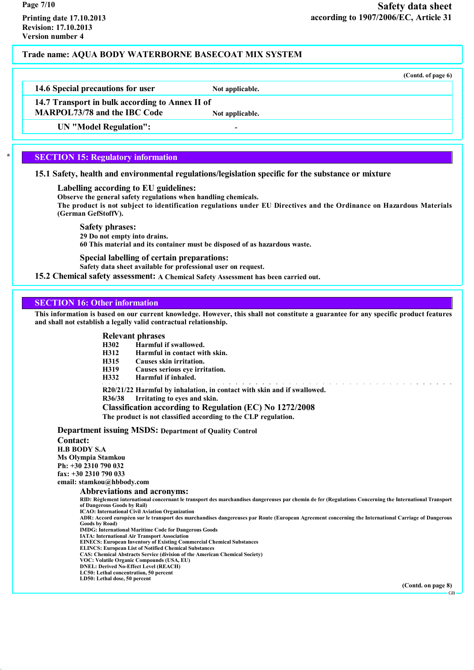**14.6 Special precautions for user Not applicable.**

**14.7 Transport in bulk according to Annex II of**

**MARPOL73/78 and the IBC Code Not applicable.**

**UN "Model Regulation": -**

# **\* SECTION 15: Regulatory information**

**15.1 Safety, health and environmental regulations/legislation specific for the substance or mixture**

**Labelling according to EU guidelines:**

**Observe the general safety regulations when handling chemicals.**

The product is not subject to identification regulations under EU Directives and the Ordinance on Hazardous Materials **(German GefStoffV).**

**Safety phrases:**

**29 Do not empty into drains.**

**60 This material and its container must be disposed of as hazardous waste.**

**Special labelling of certain preparations:**

**Safety data sheet available for professional user on request.**

**15.2 Chemical safety assessment: A Chemical Safety Assessment has been carried out.**

### **SECTION 16: Other information**

This information is based on our current knowledge. However, this shall not constitute a guarantee for any specific product features **and shall not establish a legally valid contractual relationship.**

# **Relevant phrases**

**H302 Harmful if swallowed.**

- **H312 Harmful in contact with skin.**
- **H315 Causes skin irritation.**
- **H319 Causes serious eye irritation.**
- **H332 Harmful if inhaled.**

**R20/21/22 Harmful by inhalation, in contact with skin and if swallowed.**

**R36/38 Irritating to eyes and skin.**

**Classification according to Regulation (EC) No 1272/2008 The product is not classified according to the CLP regulation.**

**Department issuing MSDS: Department of Quality Control Contact: H.B BODY S.A Ms Olympia Stamkou Ph: +30 2310 790 032 fax: +30 2310 790 033 email: stamkou@hbbody.com Abbreviations and acronyms:** RID: Règlement international concernant le transport des marchandises dangereuses par chemin de fer (Regulations Concerning the International Transport **of Dangerous Goods by Rail) ICAO: International Civil Aviation Organization** ADR: Accord européen sur le transport des marchandises dangereuses par Route (European Agreement concerning the International Carriage of Dangerous **Goods by Road) IMDG: International Maritime Code for Dangerous Goods IATA: International Air Transport Association EINECS: European Inventory of Existing Commercial Chemical Substances ELINCS: European List of Notified Chemical Substances CAS: Chemical Abstracts Service (division of the American Chemical Society) VOC: Volatile Organic Compounds (USA, EU) DNEL: Derived No-Effect Level (REACH) LC50: Lethal concentration, 50 percent LD50: Lethal dose, 50 percent**

**(Contd. on page 8)**

GB

**(Contd. of page 6)**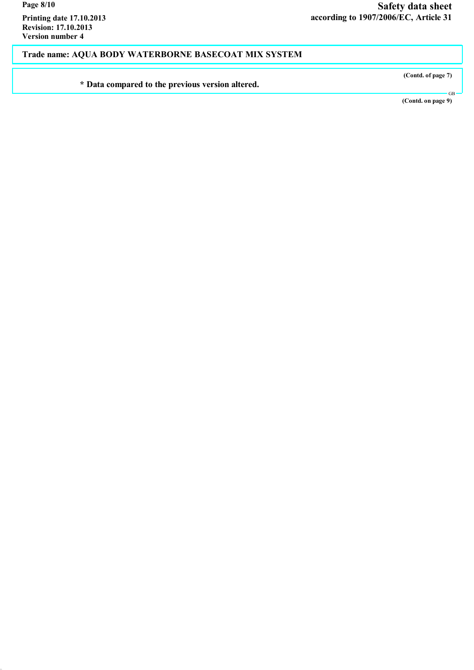**Printing date 17.10.2013 Revision: 17.10.2013 Version number 4**

**Trade name: AQUA BODY WATERBORNE BASECOAT MIX SYSTEM**

**\* Data compared to the previous version altered.**

**Safety data sheet according to 1907/2006/EC, Article 31**

**(Contd. of page 7)**

**(Contd. on page 9)**

GB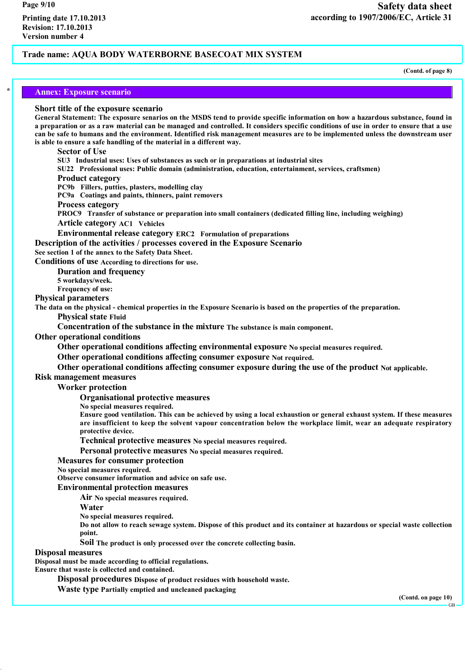**(Contd. of page 8)**

### **\* Annex: Exposure scenario**

### **Short title of the exposure scenario**

General Statement: The exposure senarios on the MSDS tend to provide specific information on how a hazardous substance, found in a preparation or as a raw material can be managed and controlled. It considers specific conditions of use in order to ensure that a use can be safe to humans and the environment. Identified risk management measures are to be implemented unless the downstream user **is able to ensure a safe handling of the material in a different way.**

### **Sector of Use**

**SU3 Industrial uses: Uses of substances as such or in preparations at industrial sites**

**SU22 Professional uses: Public domain (administration, education, entertainment, services, craftsmen)**

### **Product category**

**PC9b Fillers, putties, plasters, modelling clay**

**PC9a Coatings and paints, thinners, paint removers**

### **Process category**

**PROC9 Transfer of substance or preparation into small containers (dedicated filling line, including weighing) Article category AC1 Vehicles**

**Environmental release category ERC2 Formulation of preparations**

**Description of the activities / processes covered in the Exposure Scenario**

**See section 1 of the annex to the Safety Data Sheet.**

**Conditions of use According to directions for use.**

**Duration and frequency**

**5 workdays/week.**

**Frequency of use:**

**Physical parameters**

The data on the physical - chemical properties in the Exposure Scenario is based on the properties of the preparation.

**Physical state Fluid**

**Concentration of the substance in the mixture The substance is main component.**

**Other operational conditions**

**Other operational conditions affecting environmental exposure No special measures required.**

**Other operational conditions affecting consumer exposure Not required.**

# **Other operational conditions affecting consumer exposure during the use of the product Not applicable.**

# **Risk management measures**

**Worker protection**

**Organisational protective measures**

**No special measures required.**

Ensure good ventilation. This can be achieved by using a local exhaustion or general exhaust system. If these measures are insufficient to keep the solvent vapour concentration below the workplace limit, wear an adequate respiratory **protective device.**

**Technical protective measures No special measures required.**

**Personal protective measures No special measures required.**

### **Measures for consumer protection**

**No special measures required.**

**Observe consumer information and advice on safe use.**

**Environmental protection measures**

**Air No special measures required.**

**Water**

**No special measures required.**

Do not allow to reach sewage system. Dispose of this product and its container at hazardous or special waste collection **point.**

**Soil The product is only processed over the concrete collecting basin.**

**Disposal measures**

**Disposal must be made according to official regulations.**

**Ensure that waste is collected and contained.**

**Disposal procedures Dispose of product residues with household waste.**

**Waste type Partially emptied and uncleaned packaging**

**(Contd. on page 10)**